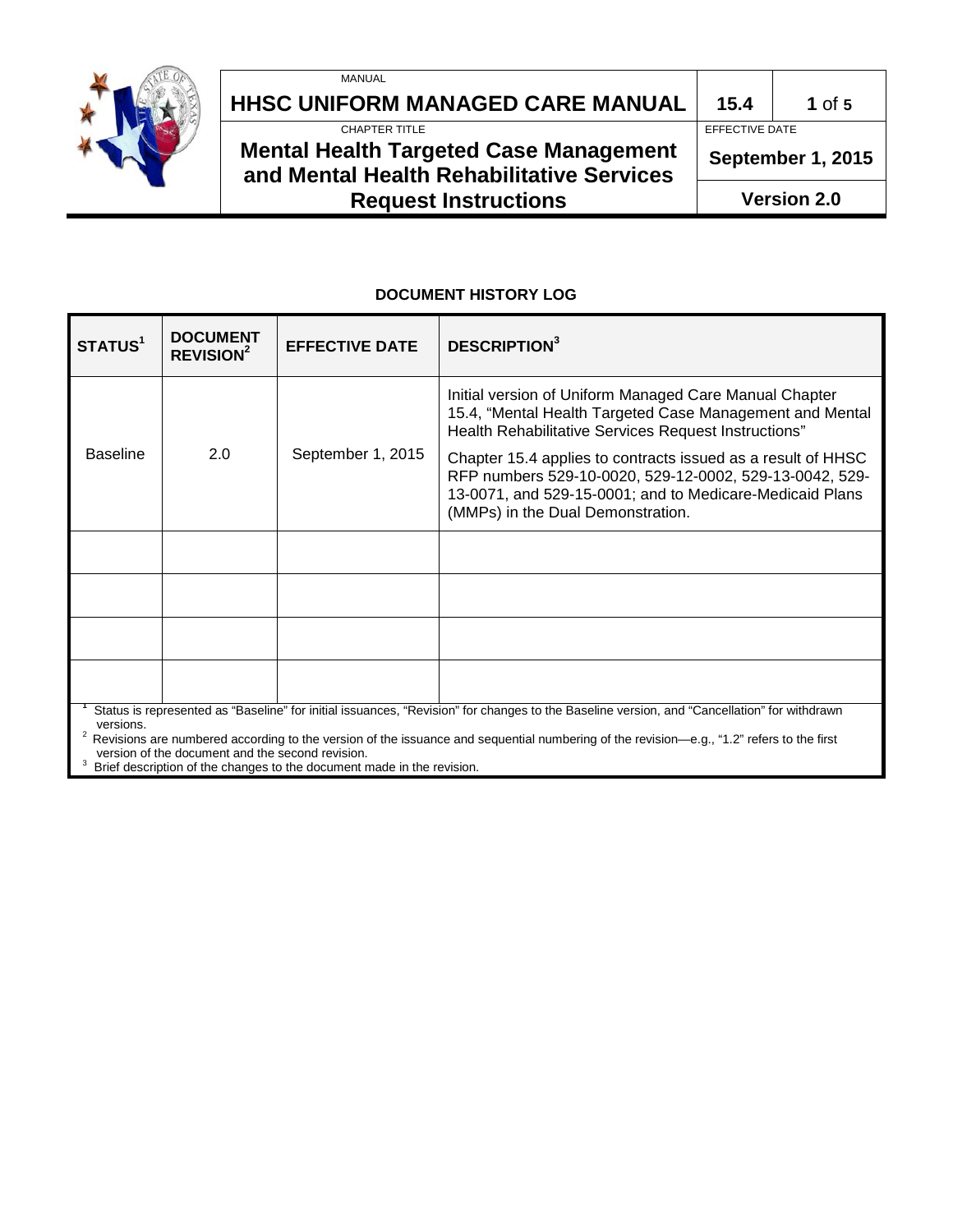

# **HHSC UNIFORM MANAGED CARE MANUAL 15.4 1** of 5<br>**EFFECTIVE DATE**

MANUAL

# **Mental Health Targeted Case Management and Mental Health Rehabilitative Services Request Instructions**

EFFECTIVE DATE

**September 1, 2015**

**Version 2.0**

### **DOCUMENT HISTORY LOG**

| STATUS <sup>1</sup>                                                                                                                                                                                                                                                                                  | <b>DOCUMENT</b><br>REVISION <sup>2</sup> | <b>EFFECTIVE DATE</b> | <b>DESCRIPTION</b> <sup>3</sup>                                                                                                                                                                                          |  |  |  |  |
|------------------------------------------------------------------------------------------------------------------------------------------------------------------------------------------------------------------------------------------------------------------------------------------------------|------------------------------------------|-----------------------|--------------------------------------------------------------------------------------------------------------------------------------------------------------------------------------------------------------------------|--|--|--|--|
|                                                                                                                                                                                                                                                                                                      | 2.0                                      | September 1, 2015     | Initial version of Uniform Managed Care Manual Chapter<br>15.4, "Mental Health Targeted Case Management and Mental<br>Health Rehabilitative Services Request Instructions"                                               |  |  |  |  |
| <b>Baseline</b>                                                                                                                                                                                                                                                                                      |                                          |                       | Chapter 15.4 applies to contracts issued as a result of HHSC<br>RFP numbers 529-10-0020, 529-12-0002, 529-13-0042, 529-<br>13-0071, and 529-15-0001; and to Medicare-Medicaid Plans<br>(MMPs) in the Dual Demonstration. |  |  |  |  |
|                                                                                                                                                                                                                                                                                                      |                                          |                       |                                                                                                                                                                                                                          |  |  |  |  |
|                                                                                                                                                                                                                                                                                                      |                                          |                       |                                                                                                                                                                                                                          |  |  |  |  |
|                                                                                                                                                                                                                                                                                                      |                                          |                       |                                                                                                                                                                                                                          |  |  |  |  |
|                                                                                                                                                                                                                                                                                                      |                                          |                       |                                                                                                                                                                                                                          |  |  |  |  |
| Status is represented as "Baseline" for initial issuances, "Revision" for changes to the Baseline version, and "Cancellation" for withdrawn<br>versions.<br>Revisions are numbered according to the version of the issuance and sequential numbering of the revision—e.g., "1.2" refers to the first |                                          |                       |                                                                                                                                                                                                                          |  |  |  |  |

version of the document and the second revision.<br><sup>3</sup> Brief description of the changes to the document made in the revision.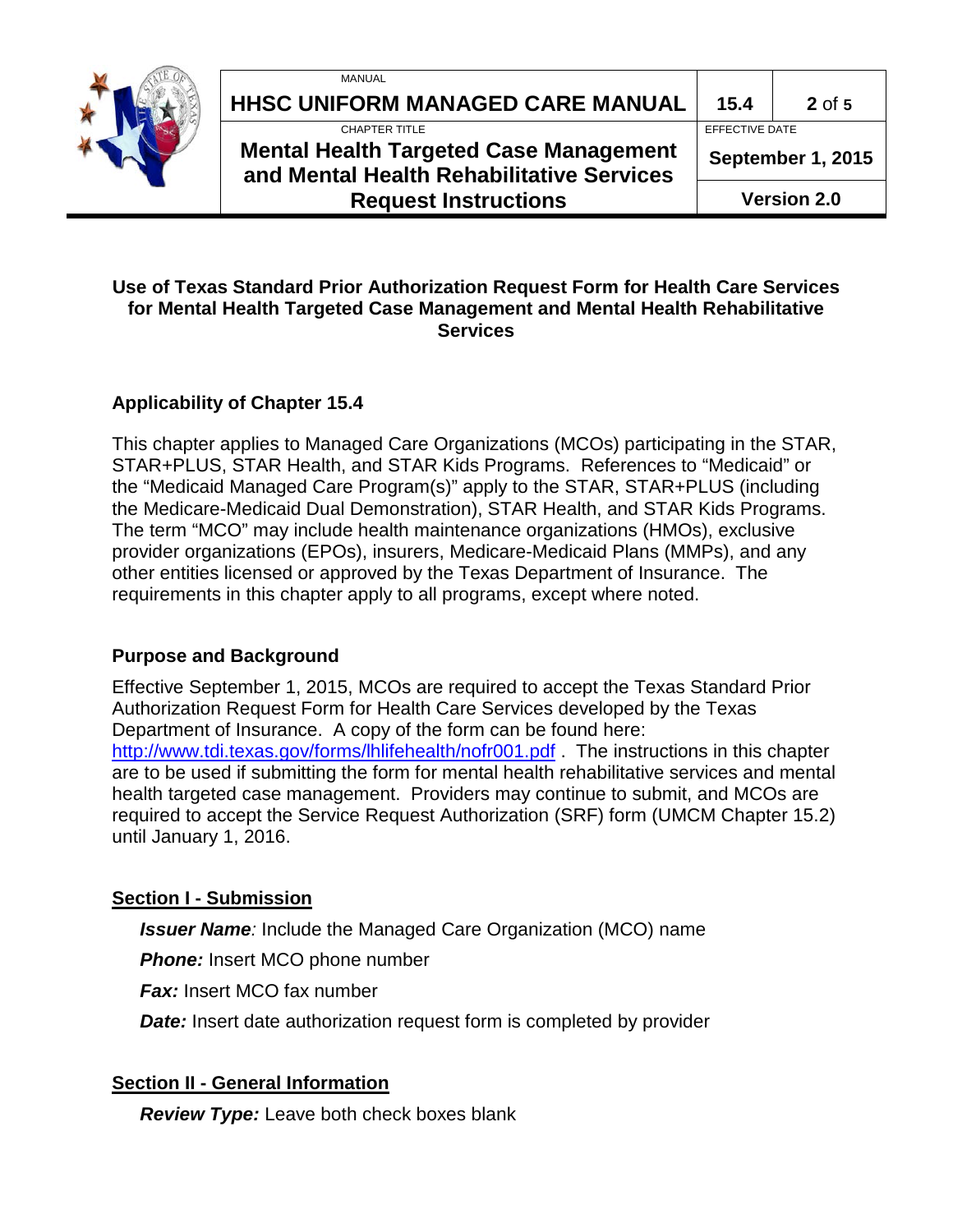

| MANUAL                                                                                     |                    |          |
|--------------------------------------------------------------------------------------------|--------------------|----------|
| HHSC UNIFORM MANAGED CARE MANUAL                                                           | 15.4               | $2$ of 5 |
| CHAPTER TITLE                                                                              | EFFECTIVE DATE     |          |
| <b>Mental Health Targeted Case Management</b><br>and Mental Health Rehabilitative Services | September 1, 2015  |          |
| <b>Request Instructions</b>                                                                | <b>Version 2.0</b> |          |

#### **Use of Texas Standard Prior Authorization Request Form for Health Care Services for Mental Health Targeted Case Management and Mental Health Rehabilitative Services**

#### **Applicability of Chapter 15.4**

This chapter applies to Managed Care Organizations (MCOs) participating in the STAR, STAR+PLUS, STAR Health, and STAR Kids Programs. References to "Medicaid" or the "Medicaid Managed Care Program(s)" apply to the STAR, STAR+PLUS (including the Medicare-Medicaid Dual Demonstration), STAR Health, and STAR Kids Programs. The term "MCO" may include health maintenance organizations (HMOs), exclusive provider organizations (EPOs), insurers, Medicare-Medicaid Plans (MMPs), and any other entities licensed or approved by the Texas Department of Insurance. The requirements in this chapter apply to all programs, except where noted.

#### **Purpose and Background**

Effective September 1, 2015, MCOs are required to accept the Texas Standard Prior Authorization Request Form for Health Care Services developed by the Texas Department of Insurance. A copy of the form can be found here: <http://www.tdi.texas.gov/forms/lhlifehealth/nofr001.pdf> . The instructions in this chapter are to be used if submitting the form for mental health rehabilitative services and mental health targeted case management. Providers may continue to submit, and MCOs are required to accept the Service Request Authorization (SRF) form (UMCM Chapter 15.2) until January 1, 2016.

#### **Section I - Submission**

*Issuer Name:* Include the Managed Care Organization (MCO) name

**Phone:** Insert MCO phone number

*Fax:* Insert MCO fax number

*Date:* Insert date authorization request form is completed by provider

#### **Section II - General Information**

*Review Type:* Leave both check boxes blank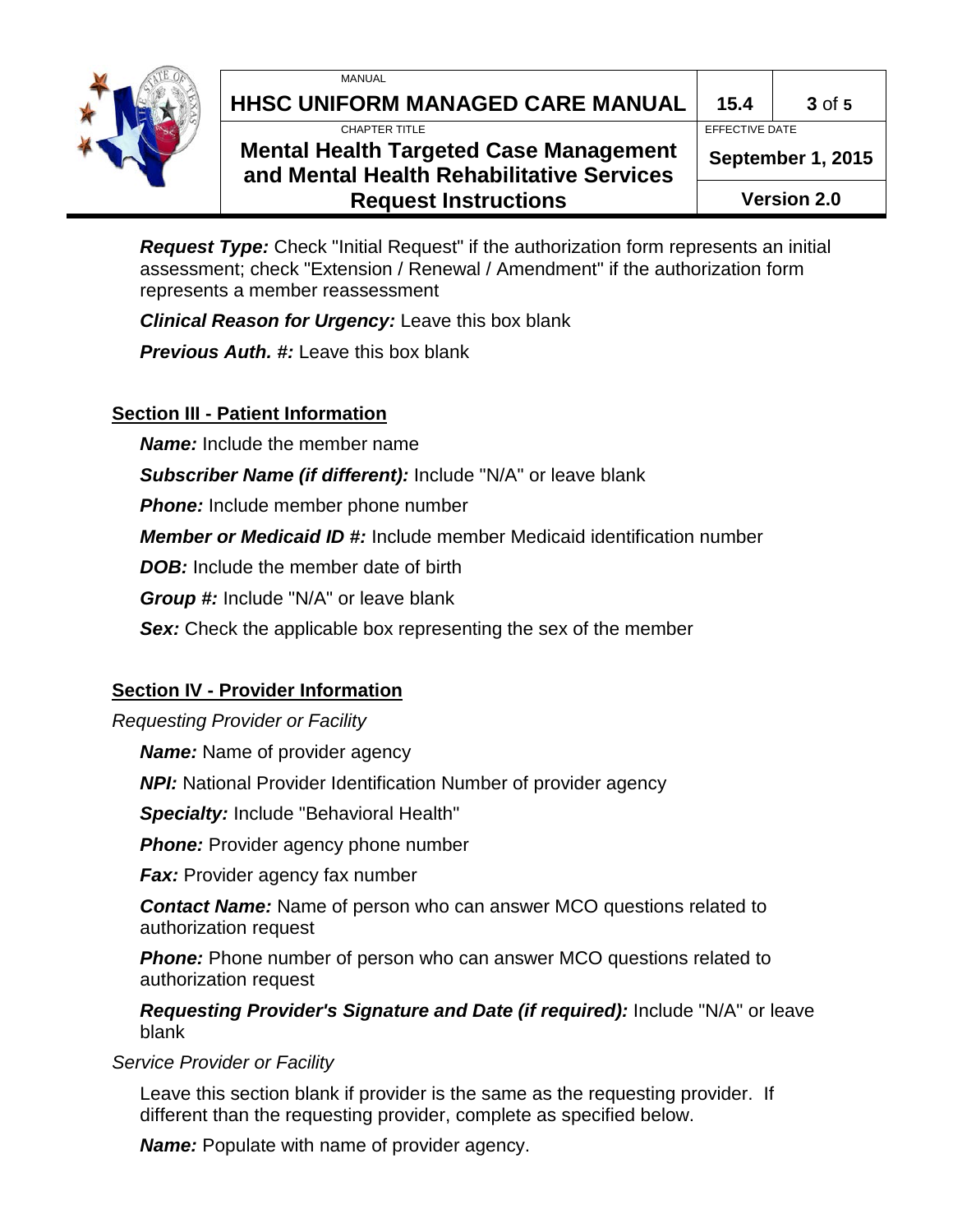



# **HHSC UNIFORM MANAGED CARE MANUAL 15.4 3** of **5**

CHAPTER TITLE EFFECTIVE DATE

## **Mental Health Targeted Case Management and Mental Health Rehabilitative Services Request Instructions**

**September 1, 2015**

**Version 2.0**

*Request Type:* Check "Initial Request" if the authorization form represents an initial assessment; check "Extension / Renewal / Amendment" if the authorization form represents a member reassessment

*Clinical Reason for Urgency:* Leave this box blank

*Previous Auth. #:* Leave this box blank

## **Section III - Patient Information**

*Name:* Include the member name

*Subscriber Name (if different):* Include "N/A" or leave blank

**Phone:** Include member phone number

*Member or Medicaid ID #:* Include member Medicaid identification number

*DOB:* Include the member date of birth

*Group #:* Include "N/A" or leave blank

**Sex:** Check the applicable box representing the sex of the member

## **Section IV - Provider Information**

#### *Requesting Provider or Facility*

*Name:* Name of provider agency

*NPI:* National Provider Identification Number of provider agency

*Specialty:* Include "Behavioral Health"

**Phone:** Provider agency phone number

*Fax:* Provider agency fax number

*Contact Name:* Name of person who can answer MCO questions related to authorization request

**Phone:** Phone number of person who can answer MCO questions related to authorization request

*Requesting Provider's Signature and Date (if required):* Include "N/A" or leave blank

*Service Provider or Facility*

Leave this section blank if provider is the same as the requesting provider. If different than the requesting provider, complete as specified below.

*Name:* Populate with name of provider agency.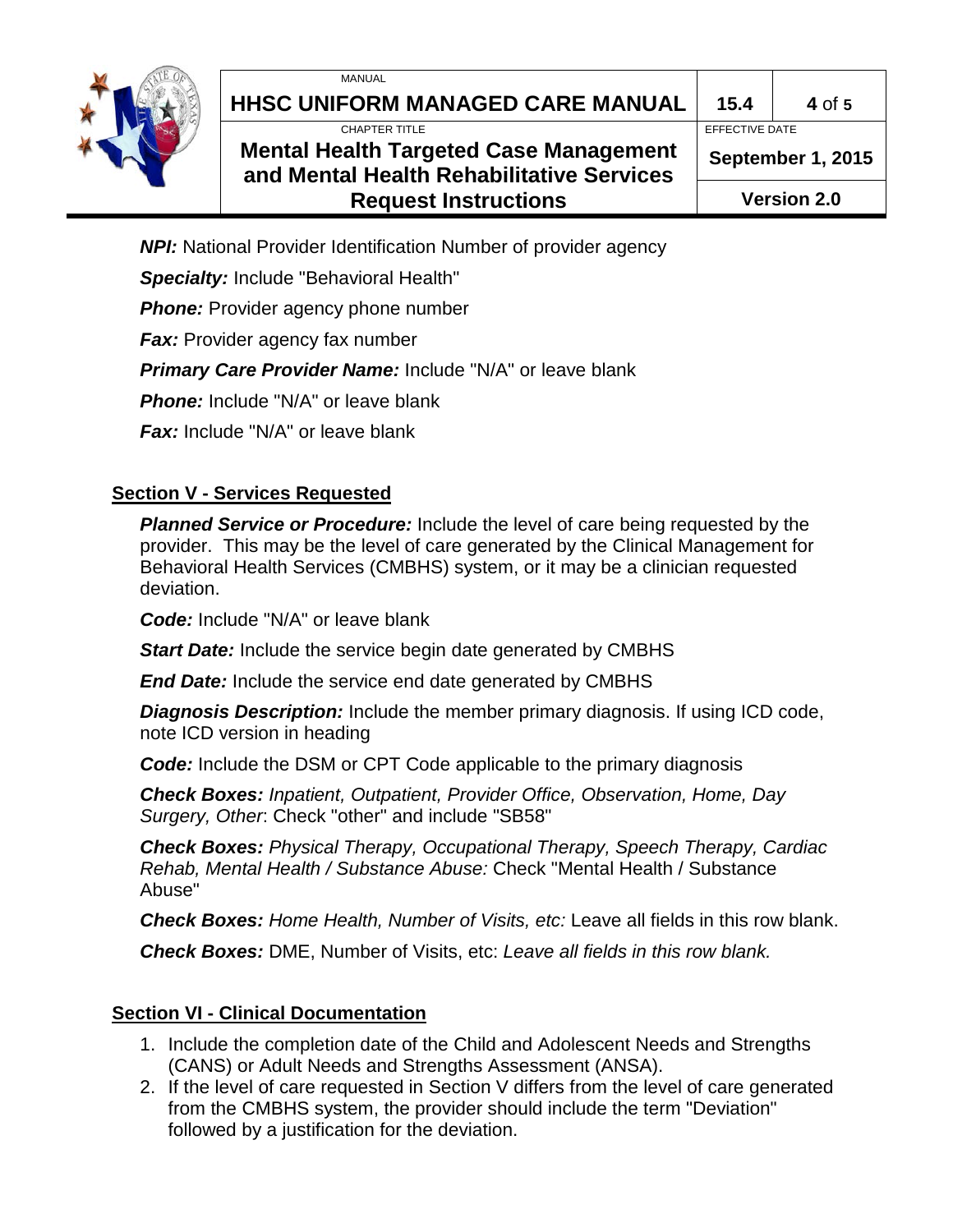



# **HHSC UNIFORM MANAGED CARE MANUAL 15.4 4** of **5**

CHAPTER TITLE EFFECTIVE DATE

# **Mental Health Targeted Case Management and Mental Health Rehabilitative Services Request Instructions**

**September 1, 2015**

**Version 2.0**

*NPI:* National Provider Identification Number of provider agency

*Specialty:* Include "Behavioral Health"

**Phone:** Provider agency phone number

**Fax:** Provider agency fax number

*Primary Care Provider Name:* Include "N/A" or leave blank

**Phone:** Include "N/A" or leave blank

*Fax:* Include "N/A" or leave blank

## **Section V - Services Requested**

*Planned Service or Procedure:* Include the level of care being requested by the provider. This may be the level of care generated by the Clinical Management for Behavioral Health Services (CMBHS) system, or it may be a clinician requested deviation.

*Code:* Include "N/A" or leave blank

*Start Date:* Include the service begin date generated by CMBHS

*End Date:* Include the service end date generated by CMBHS

*Diagnosis Description:* Include the member primary diagnosis. If using ICD code, note ICD version in heading

*Code:* Include the DSM or CPT Code applicable to the primary diagnosis

*Check Boxes: Inpatient, Outpatient, Provider Office, Observation, Home, Day Surgery, Other*: Check "other" and include "SB58"

*Check Boxes: Physical Therapy, Occupational Therapy, Speech Therapy, Cardiac Rehab, Mental Health / Substance Abuse:* Check "Mental Health / Substance Abuse"

*Check Boxes: Home Health, Number of Visits, etc:* Leave all fields in this row blank.

*Check Boxes:* DME, Number of Visits, etc: *Leave all fields in this row blank.* 

# **Section VI - Clinical Documentation**

- 1. Include the completion date of the Child and Adolescent Needs and Strengths (CANS) or Adult Needs and Strengths Assessment (ANSA).
- 2. If the level of care requested in Section V differs from the level of care generated from the CMBHS system, the provider should include the term "Deviation" followed by a justification for the deviation.